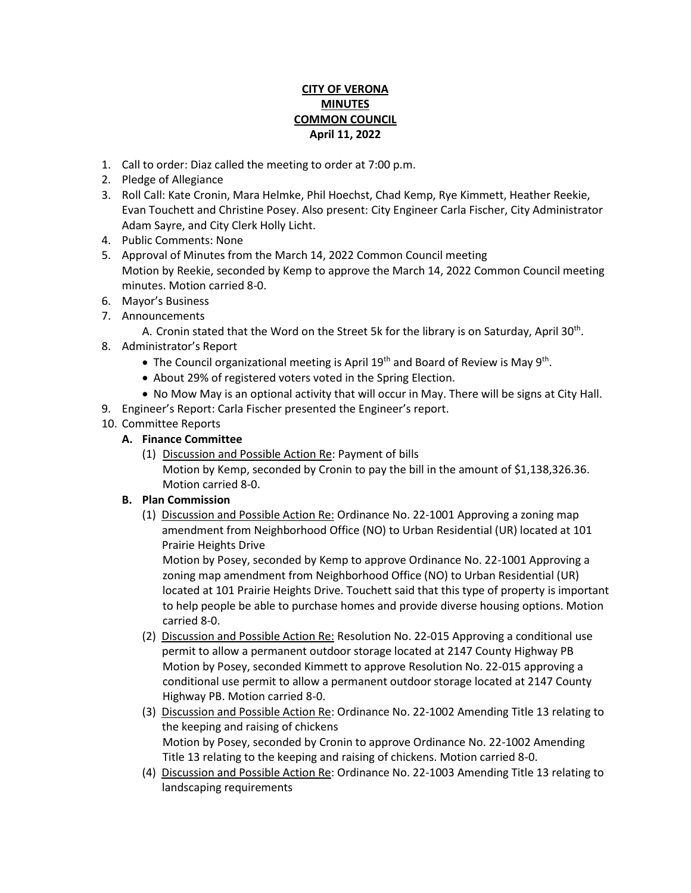## **CITY OF VERONA MINUTES COMMON COUNCIL April 11, 2022**

- 1. Call to order: Diaz called the meeting to order at 7:00 p.m.
- 2. Pledge of Allegiance
- 3. Roll Call: Kate Cronin, Mara Helmke, Phil Hoechst, Chad Kemp, Rye Kimmett, Heather Reekie, Evan Touchett and Christine Posey. Also present: City Engineer Carla Fischer, City Administrator Adam Sayre, and City Clerk Holly Licht.
- 4. Public Comments: None
- 5. Approval of Minutes from the March 14, 2022 Common Council meeting Motion by Reekie, seconded by Kemp to approve the March 14, 2022 Common Council meeting minutes. Motion carried 8-0.
- 6. Mayor's Business
- 7. Announcements
	- A. Cronin stated that the Word on the Street 5k for the library is on Saturday, April 30<sup>th</sup>.
- 8. Administrator's Report
	- The Council organizational meeting is April 19<sup>th</sup> and Board of Review is May 9<sup>th</sup>.
	- About 29% of registered voters voted in the Spring Election.
	- No Mow May is an optional activity that will occur in May. There will be signs at City Hall.
- 9. Engineer's Report: Carla Fischer presented the Engineer's report.
- 10. Committee Reports

## **A. Finance Committee**

(1) Discussion and Possible Action Re: Payment of bills Motion by Kemp, seconded by Cronin to pay the bill in the amount of \$1,138,326.36. Motion carried 8-0.

## **B. Plan Commission**

(1) Discussion and Possible Action Re: Ordinance No. 22-1001 Approving a zoning map amendment from Neighborhood Office (NO) to Urban Residential (UR) located at 101 Prairie Heights Drive

Motion by Posey, seconded by Kemp to approve Ordinance No. 22-1001 Approving a zoning map amendment from Neighborhood Office (NO) to Urban Residential (UR) located at 101 Prairie Heights Drive. Touchett said that this type of property is important to help people be able to purchase homes and provide diverse housing options. Motion carried 8-0.

- (2) Discussion and Possible Action Re: Resolution No. 22-015 Approving a conditional use permit to allow a permanent outdoor storage located at 2147 County Highway PB Motion by Posey, seconded Kimmett to approve Resolution No. 22-015 approving a conditional use permit to allow a permanent outdoor storage located at 2147 County Highway PB. Motion carried 8-0.
- (3) Discussion and Possible Action Re: Ordinance No. 22-1002 Amending Title 13 relating to the keeping and raising of chickens Motion by Posey, seconded by Cronin to approve Ordinance No. 22-1002 Amending Title 13 relating to the keeping and raising of chickens. Motion carried 8-0.
- (4) Discussion and Possible Action Re: Ordinance No. 22-1003 Amending Title 13 relating to landscaping requirements